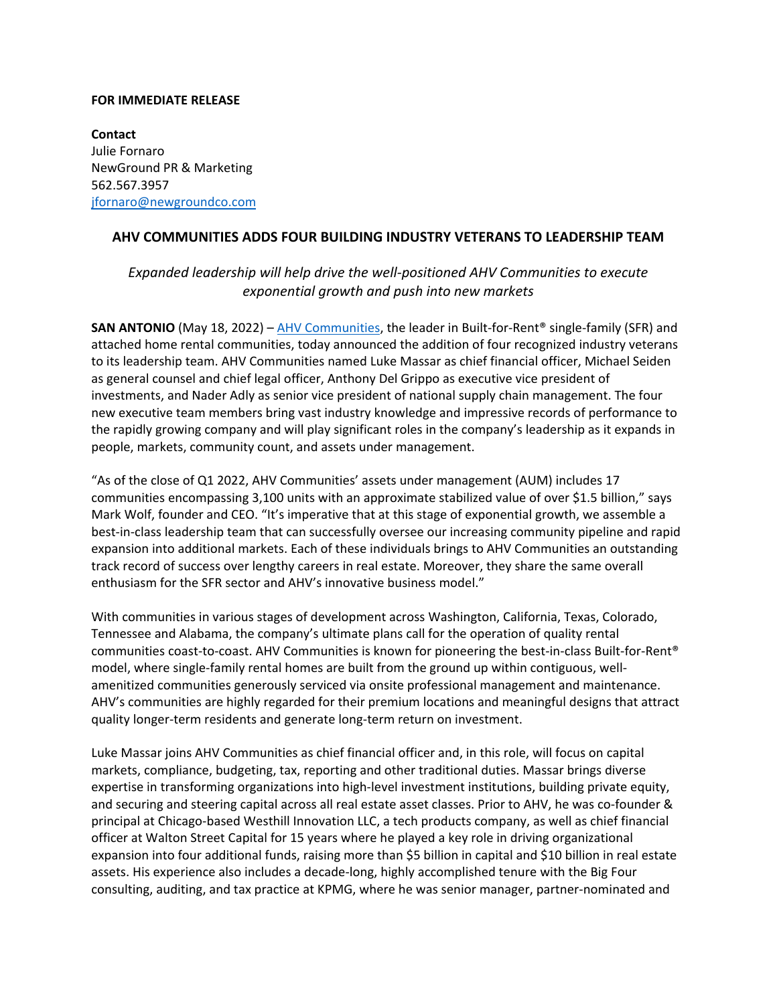## **FOR IMMEDIATE RELEASE**

**Contact** Julie Fornaro NewGround PR & Marketing 562.567.3957 [jfornaro@newgroundco.com](mailto:jfornaro@newgroundco.com)

## **AHV COMMUNITIES ADDS FOUR BUILDING INDUSTRY VETERANS TO LEADERSHIP TEAM**

## *Expanded leadership will help drive the well-positioned AHV Communities to execute exponential growth and push into new markets*

**SAN ANTONIO** (May 18, 2022) – [AHV Communities,](http://www.ahvcommunities.com/) the leader in Built-for-Rent® single-family (SFR) and attached home rental communities, today announced the addition of four recognized industry veterans to its leadership team. AHV Communities named Luke Massar as chief financial officer, Michael Seiden as general counsel and chief legal officer, Anthony Del Grippo as executive vice president of investments, and Nader Adly as senior vice president of national supply chain management. The four new executive team members bring vast industry knowledge and impressive records of performance to the rapidly growing company and will play significant roles in the company's leadership as it expands in people, markets, community count, and assets under management.

"As of the close of Q1 2022, AHV Communities' assets under management (AUM) includes 17 communities encompassing 3,100 units with an approximate stabilized value of over \$1.5 billion," says Mark Wolf, founder and CEO. "It's imperative that at this stage of exponential growth, we assemble a best-in-class leadership team that can successfully oversee our increasing community pipeline and rapid expansion into additional markets. Each of these individuals brings to AHV Communities an outstanding track record of success over lengthy careers in real estate. Moreover, they share the same overall enthusiasm for the SFR sector and AHV's innovative business model."

With communities in various stages of development across Washington, California, Texas, Colorado, Tennessee and Alabama, the company's ultimate plans call for the operation of quality rental communities coast-to-coast. AHV Communities is known for pioneering the best-in-class Built-for-Rent® model, where single-family rental homes are built from the ground up within contiguous, wellamenitized communities generously serviced via onsite professional management and maintenance. AHV's communities are highly regarded for their premium locations and meaningful designs that attract quality longer-term residents and generate long-term return on investment.

Luke Massar joins AHV Communities as chief financial officer and, in this role, will focus on capital markets, compliance, budgeting, tax, reporting and other traditional duties. Massar brings diverse expertise in transforming organizations into high-level investment institutions, building private equity, and securing and steering capital across all real estate asset classes. Prior to AHV, he was co-founder & principal at Chicago-based Westhill Innovation LLC, a tech products company, as well as chief financial officer at Walton Street Capital for 15 years where he played a key role in driving organizational expansion into four additional funds, raising more than \$5 billion in capital and \$10 billion in real estate assets. His experience also includes a decade-long, highly accomplished tenure with the Big Four consulting, auditing, and tax practice at KPMG, where he was senior manager, partner-nominated and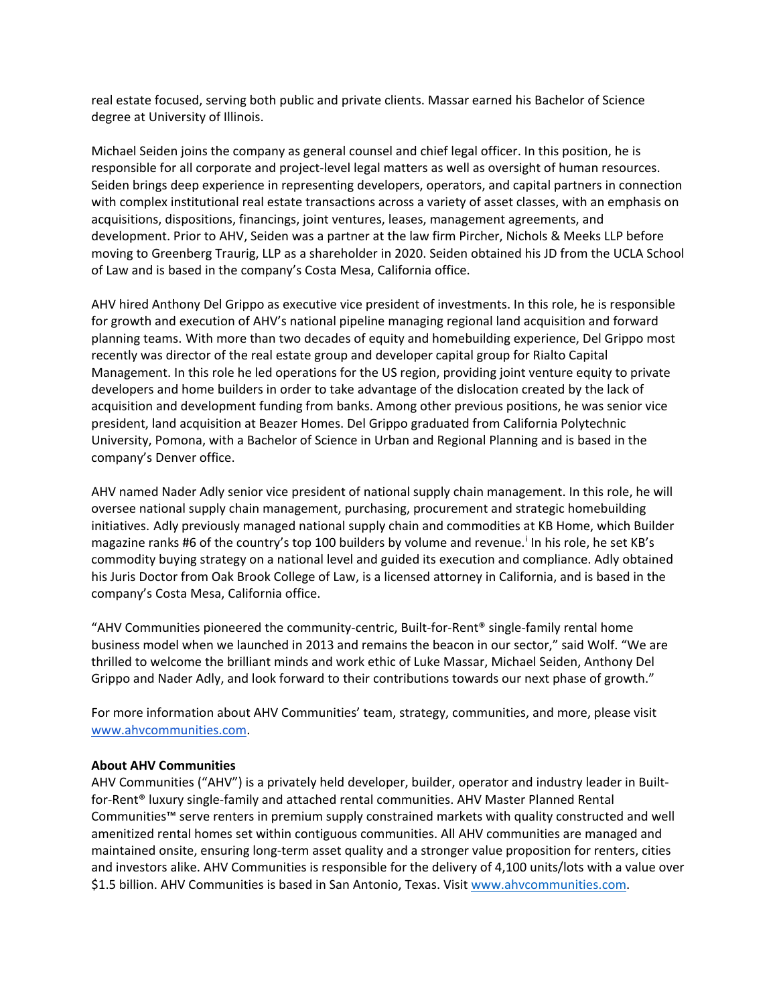real estate focused, serving both public and private clients. Massar earned his Bachelor of Science degree at University of Illinois.

Michael Seiden joins the company as general counsel and chief legal officer. In this position, he is responsible for all corporate and project-level legal matters as well as oversight of human resources. Seiden brings deep experience in representing developers, operators, and capital partners in connection with complex institutional real estate transactions across a variety of asset classes, with an emphasis on acquisitions, dispositions, financings, joint ventures, leases, management agreements, and development. Prior to AHV, Seiden was a partner at the law firm Pircher, Nichols & Meeks LLP before moving to Greenberg Traurig, LLP as a shareholder in 2020. Seiden obtained his JD from the UCLA School of Law and is based in the company's Costa Mesa, California office.

AHV hired Anthony Del Grippo as executive vice president of investments. In this role, he is responsible for growth and execution of AHV's national pipeline managing regional land acquisition and forward planning teams. With more than two decades of equity and homebuilding experience, Del Grippo most recently was director of the real estate group and developer capital group for Rialto Capital Management. In this role he led operations for the US region, providing joint venture equity to private developers and home builders in order to take advantage of the dislocation created by the lack of acquisition and development funding from banks. Among other previous positions, he was senior vice president, land acquisition at Beazer Homes. Del Grippo graduated from California Polytechnic University, Pomona, with a Bachelor of Science in Urban and Regional Planning and is based in the company's Denver office.

AHV named Nader Adly senior vice president of national supply chain management. In this role, he will oversee national supply chain management, purchasing, procurement and strategic homebuilding initiatives. Adly previously managed national supply chain and commodities at KB Home, which Builder magazine ranks #6 of the country's top 100 builders by volume and revenue. [i](#page-2-0) In his role, he set KB's commodity buying strategy on a national level and guided its execution and compliance. Adly obtained his Juris Doctor from Oak Brook College of Law, is a licensed attorney in California, and is based in the company's Costa Mesa, California office.

"AHV Communities pioneered the community-centric, Built-for-Rent® single-family rental home business model when we launched in 2013 and remains the beacon in our sector," said Wolf. "We are thrilled to welcome the brilliant minds and work ethic of Luke Massar, Michael Seiden, Anthony Del Grippo and Nader Adly, and look forward to their contributions towards our next phase of growth."

For more information about AHV Communities' team, strategy, communities, and more, please visit [www.ahvcommunities.com.](http://www.ahvcommunities.com/)

## **About AHV Communities**

AHV Communities ("AHV") is a privately held developer, builder, operator and industry leader in Builtfor-Rent® luxury single-family and attached rental communities. AHV Master Planned Rental Communities™ serve renters in premium supply constrained markets with quality constructed and well amenitized rental homes set within contiguous communities. All AHV communities are managed and maintained onsite, ensuring long-term asset quality and a stronger value proposition for renters, cities and investors alike. AHV Communities is responsible for the delivery of 4,100 units/lots with a value over \$1.5 billion. AHV Communities is based in San Antonio, Texas. Visit [www.ahvcommunities.com.](http://www.ahvcommunities.com/)